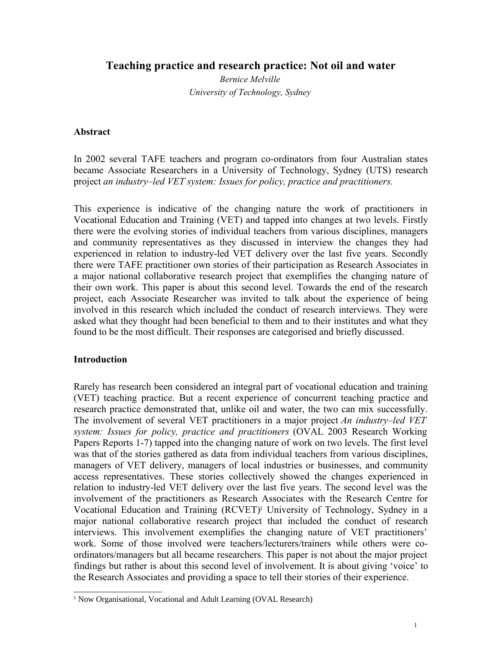**Teaching practice and research practice: Not oil and water**

*Bernice Melville University of Technology, Sydney*

## **Abstract**

In 2002 several TAFE teachers and program co-ordinators from four Australian states became Associate Researchers in a University of Technology, Sydney (UTS) research project *an industry–led VET system: Issues for policy, practice and practitioners.*

This experience is indicative of the changing nature the work of practitioners in Vocational Education and Training (VET) and tapped into changes at two levels. Firstly there were the evolving stories of individual teachers from various disciplines, managers and community representatives as they discussed in interview the changes they had experienced in relation to industry-led VET delivery over the last five years. Secondly there were TAFE practitioner own stories of their participation as Research Associates in a major national collaborative research project that exemplifies the changing nature of their own work. This paper is about this second level. Towards the end of the research project, each Associate Researcher was invited to talk about the experience of being involved in this research which included the conduct of research interviews. They were asked what they thought had been beneficial to them and to their institutes and what they found to be the most difficult. Their responses are categorised and briefly discussed.

### **Introduction**

Rarely has research been considered an integral part of vocational education and training (VET) teaching practice. But a recent experience of concurrent teaching practice and research practice demonstrated that, unlike oil and water, the two can mix successfully. The involvement of several VET practitioners in a major project *An industry–led VET system: Issues for policy, practice and practitioners* (OVAL 2003 Research Working Papers Reports 1-7) tapped into the changing nature of work on two levels. The first level was that of the stories gathered as data from individual teachers from various disciplines, managers of VET delivery, managers of local industries or businesses, and community access representatives. These stories collectively showed the changes experienced in relation to industry-led VET delivery over the last five years. The second level was the involvement of the practitioners as Research Associates with the Research Centre for Vocational Education and Training (RCVET) <sup>1</sup> University of Technology, Sydney in a major national collaborative research project that included the conduct of research interviews. This involvement exemplifies the changing nature of VET practitioners' work. Some of those involved were teachers/lecturers/trainers while others were coordinators/managers but all became researchers. This paper is not about the major project findings but rather is about this second level of involvement. It is about giving 'voice' to the Research Associates and providing a space to tell their stories of their experience.

<sup>&</sup>lt;sup>1</sup> Now Organisational, Vocational and Adult Learning (OVAL Research)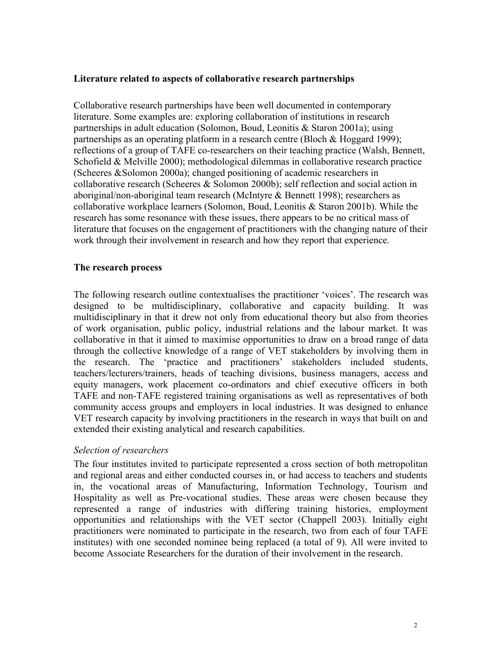### **Literature related to aspects of collaborative research partnerships**

Collaborative research partnerships have been well documented in contemporary literature. Some examples are: exploring collaboration of institutions in research partnerships in adult education (Solomon, Boud, Leonitis & Staron 2001a); using partnerships as an operating platform in a research centre (Bloch & Hoggard 1999); reflections of a group of TAFE co-researchers on their teaching practice (Walsh, Bennett, Schofield & Melville 2000); methodological dilemmas in collaborative research practice (Scheeres &Solomon 2000a); changed positioning of academic researchers in collaborative research (Scheeres & Solomon 2000b); self reflection and social action in aboriginal/non-aboriginal team research (McIntyre & Bennett 1998); researchers as collaborative workplace learners (Solomon, Boud, Leonitis & Staron 2001b). While the research has some resonance with these issues, there appears to be no critical mass of literature that focuses on the engagement of practitioners with the changing nature of their work through their involvement in research and how they report that experience.

### **The research process**

The following research outline contextualises the practitioner 'voices'. The research was designed to be multidisciplinary, collaborative and capacity building. It was multidisciplinary in that it drew not only from educational theory but also from theories of work organisation, public policy, industrial relations and the labour market. It was collaborative in that it aimed to maximise opportunities to draw on a broad range of data through the collective knowledge of a range of VET stakeholders by involving them in the research. The 'practice and practitioners' stakeholders included students, teachers/lecturers/trainers, heads of teaching divisions, business managers, access and equity managers, work placement co-ordinators and chief executive officers in both TAFE and non-TAFE registered training organisations as well as representatives of both community access groups and employers in local industries. It was designed to enhance VET research capacity by involving practitioners in the research in ways that built on and extended their existing analytical and research capabilities.

### *Selection of researchers*

The four institutes invited to participate represented a cross section of both metropolitan and regional areas and either conducted courses in, or had access to teachers and students in, the vocational areas of Manufacturing, Information Technology, Tourism and Hospitality as well as Pre-vocational studies. These areas were chosen because they represented a range of industries with differing training histories, employment opportunities and relationships with the VET sector (Chappell 2003). Initially eight practitioners were nominated to participate in the research, two from each of four TAFE institutes) with one seconded nominee being replaced (a total of 9). All were invited to become Associate Researchers for the duration of their involvement in the research.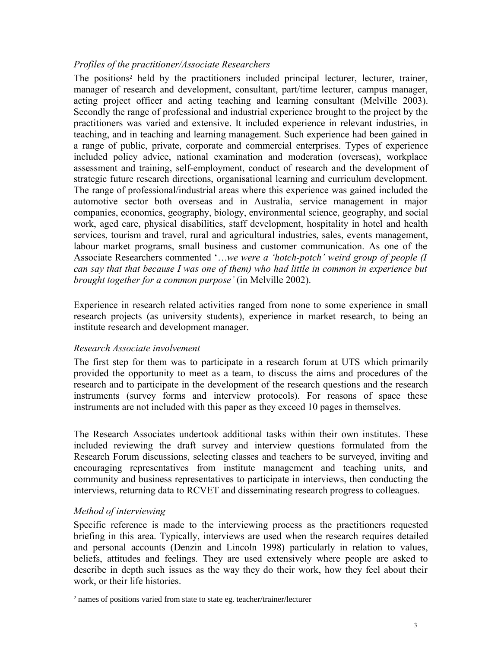## *Profiles of the practitioner/Associate Researchers*

The positions<sup>2</sup> held by the practitioners included principal lecturer, lecturer, trainer, manager of research and development, consultant, part/time lecturer, campus manager, acting project officer and acting teaching and learning consultant (Melville 2003). Secondly the range of professional and industrial experience brought to the project by the practitioners was varied and extensive. It included experience in relevant industries, in teaching, and in teaching and learning management. Such experience had been gained in a range of public, private, corporate and commercial enterprises. Types of experience included policy advice, national examination and moderation (overseas), workplace assessment and training, self-employment, conduct of research and the development of strategic future research directions, organisational learning and curriculum development. The range of professional/industrial areas where this experience was gained included the automotive sector both overseas and in Australia, service management in major companies, economics, geography, biology, environmental science, geography, and social work, aged care, physical disabilities, staff development, hospitality in hotel and health services, tourism and travel, rural and agricultural industries, sales, events management, labour market programs, small business and customer communication. As one of the Associate Researchers commented '…*we were a 'hotch-potch' weird group of people (I can say that that because I was one of them) who had little in common in experience but brought together for a common purpose'* (in Melville 2002).

Experience in research related activities ranged from none to some experience in small research projects (as university students), experience in market research, to being an institute research and development manager.

### *Research Associate involvement*

The first step for them was to participate in a research forum at UTS which primarily provided the opportunity to meet as a team, to discuss the aims and procedures of the research and to participate in the development of the research questions and the research instruments (survey forms and interview protocols). For reasons of space these instruments are not included with this paper as they exceed 10 pages in themselves.

The Research Associates undertook additional tasks within their own institutes. These included reviewing the draft survey and interview questions formulated from the Research Forum discussions, selecting classes and teachers to be surveyed, inviting and encouraging representatives from institute management and teaching units, and community and business representatives to participate in interviews, then conducting the interviews, returning data to RCVET and disseminating research progress to colleagues.

# *Method of interviewing*

Specific reference is made to the interviewing process as the practitioners requested briefing in this area. Typically, interviews are used when the research requires detailed and personal accounts (Denzin and Lincoln 1998) particularly in relation to values, beliefs, attitudes and feelings. They are used extensively where people are asked to describe in depth such issues as the way they do their work, how they feel about their work, or their life histories.

<sup>2</sup> names of positions varied from state to state eg. teacher/trainer/lecturer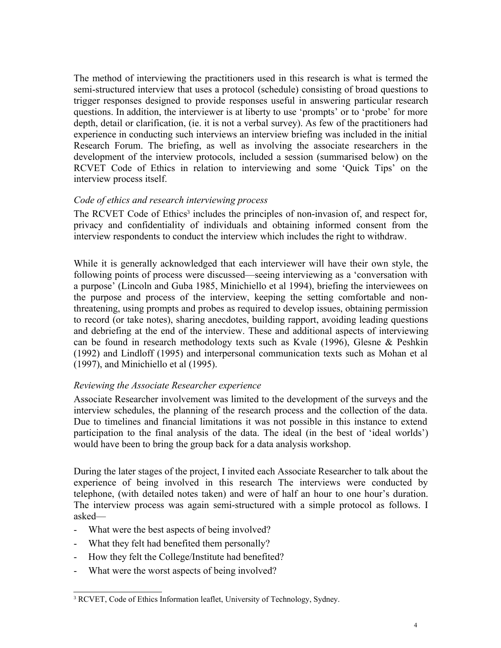The method of interviewing the practitioners used in this research is what is termed the semi-structured interview that uses a protocol (schedule) consisting of broad questions to trigger responses designed to provide responses useful in answering particular research questions. In addition, the interviewer is at liberty to use 'prompts' or to 'probe' for more depth, detail or clarification, (ie. it is not a verbal survey). As few of the practitioners had experience in conducting such interviews an interview briefing was included in the initial Research Forum. The briefing, as well as involving the associate researchers in the development of the interview protocols, included a session (summarised below) on the RCVET Code of Ethics in relation to interviewing and some 'Quick Tips' on the interview process itself.

### *Code of ethics and research interviewing process*

The RCVET Code of Ethics<sup>3</sup> includes the principles of non-invasion of, and respect for, privacy and confidentiality of individuals and obtaining informed consent from the interview respondents to conduct the interview which includes the right to withdraw.

While it is generally acknowledged that each interviewer will have their own style, the following points of process were discussed—seeing interviewing as a 'conversation with a purpose' (Lincoln and Guba 1985, Minichiello et al 1994), briefing the interviewees on the purpose and process of the interview, keeping the setting comfortable and nonthreatening, using prompts and probes as required to develop issues, obtaining permission to record (or take notes), sharing anecdotes, building rapport, avoiding leading questions and debriefing at the end of the interview. These and additional aspects of interviewing can be found in research methodology texts such as Kvale (1996), Glesne & Peshkin (1992) and Lindloff (1995) and interpersonal communication texts such as Mohan et al (1997), and Minichiello et al (1995).

### *Reviewing the Associate Researcher experience*

Associate Researcher involvement was limited to the development of the surveys and the interview schedules, the planning of the research process and the collection of the data. Due to timelines and financial limitations it was not possible in this instance to extend participation to the final analysis of the data. The ideal (in the best of 'ideal worlds') would have been to bring the group back for a data analysis workshop.

During the later stages of the project, I invited each Associate Researcher to talk about the experience of being involved in this research The interviews were conducted by telephone, (with detailed notes taken) and were of half an hour to one hour's duration. The interview process was again semi-structured with a simple protocol as follows. I asked—

- What were the best aspects of being involved?
- What they felt had benefited them personally?
- How they felt the College/Institute had benefited?
- What were the worst aspects of being involved?

<sup>&</sup>lt;sup>3</sup> RCVET, Code of Ethics Information leaflet, University of Technology, Sydney.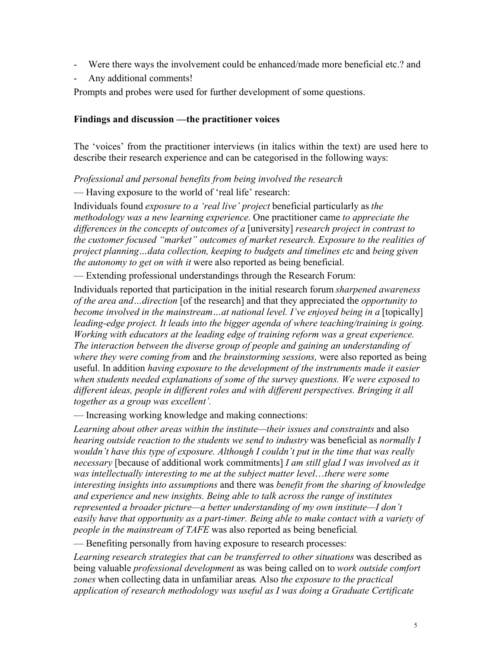- Were there ways the involvement could be enhanced/made more beneficial etc.? and
- Any additional comments!

Prompts and probes were used for further development of some questions.

### **Findings and discussion —the practitioner voices**

The 'voices' from the practitioner interviews (in italics within the text) are used here to describe their research experience and can be categorised in the following ways:

*Professional and personal benefits from being involved the research*

— Having exposure to the world of 'real life' research:

Individuals found *exposure to a 'real live' project* beneficial particularly as *the methodology was a new learning experience.* One practitioner came *to appreciate the differences in the concepts of outcomes of a* [university] *research project in contrast to the customer focused "market" outcomes of market research. Exposure to the realities of project planning…data collection, keeping to budgets and timelines etc* and *being given the autonomy to get on with it* were also reported as being beneficial.

— Extending professional understandings through the Research Forum:

Individuals reported that participation in the initial research forum *sharpened awareness of the area and…direction* [of the research] and that they appreciated the *opportunity to become involved in the mainstream...at national level. I've enjoyed being in a* [topically] *leading-edge project. It leads into the bigger agenda of where teaching/training is going. Working with educators at the leading edge of training reform was a great experience. The interaction between the diverse group of people and gaining an understanding of where they were coming from* and *the brainstorming sessions,* were also reported as being useful. In addition *having exposure to the development of the instruments made it easier when students needed explanations of some of the survey questions. We were exposed to different ideas, people in different roles and with different perspectives. Bringing it all together as a group was excellent'.*

— Increasing working knowledge and making connections:

*Learning about other areas within the institute—their issues and constraints* and also *hearing outside reaction to the students we send to industry* was beneficial as *normally I wouldn't have this type of exposure. Although I couldn't put in the time that was really necessary* [because of additional work commitments] *I am still glad I was involved as it was intellectually interesting to me at the subject matter level*…*there were some interesting insights into assumptions* and there was *benefit from the sharing of knowledge and experience and new insights. Being able to talk across the range of institutes represented a broader picture—a better understanding of my own institute—I don't easily have that opportunity as a part-timer. Being able to make contact with a variety of people in the mainstream of TAFE* was also reported as being beneficial*.*

— Benefiting personally from having exposure to research processes:

*Learning research strategies that can be transferred to other situations* was described as being valuable *professional development* as was being called on to *work outside comfort zones* when collecting data in unfamiliar areas*.* Also *the exposure to the practical application of research methodology was useful as I was doing a Graduate Certificate*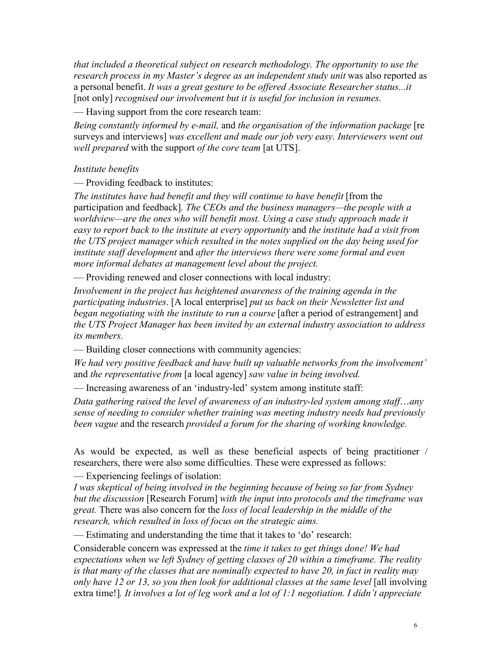*that included a theoretical subject on research methodology. The opportunity to use the* research process in my Master's degree as an independent study unit was also reported as a personal benefit. *It was a great gesture to be offered Associate Researcher status...it* [not only] *recognised our involvement but it is useful for inclusion in resumes.* 

— Having support from the core research team:

*Being constantly informed by e-mail,* and *the organisation of the information package* [re surveys and interviews] *was excellent and made our job very easy. Interviewers went out well prepared* with the support *of the core team* [at UTS].

### *Institute benefits*

— Providing feedback to institutes:

*The institutes have had benefit and they will continue to have benefit* [from the participation and feedback]*. The CEOs and the business managers—the people with a worldview—are the ones who will benefit most. Using a case study approach made it easy to report back to the institute at every opportunity* and *the institute had a visit from the UTS project manager which resulted in the notes supplied on the day being used for institute staff development* and *after the interviews there were some formal and even more informal debates at management level about the project.*

— Providing renewed and closer connections with local industry:

*Involvement in the project has heightened awareness of the training agenda in the participating industries*. [A local enterprise] *put us back on their Newsletter list and began negotiating with the institute to run a course* [after a period of estrangement] and *the UTS Project Manager has been invited by an external industry association to address its members.*

— Building closer connections with community agencies:

*We had very positive feedback and have built up valuable networks from the involvement'* and *the representative from* [a local agency] *saw value in being involved.*

— Increasing awareness of an 'industry-led' system among institute staff:

*Data gathering raised the level of awareness of an industry-led system among staff*…*any sense of needing to consider whether training was meeting industry needs had previously been vague* and the research *provided a forum for the sharing of working knowledge.*

As would be expected, as well as these beneficial aspects of being practitioner / researchers, there were also some difficulties. These were expressed as follows:

— Experiencing feelings of isolation:

*I was skeptical of being involved in the beginning because of being so far from Sydney but the discussion* [Research Forum] *with the input into protocols and the timeframe was great.* There was also concern for the *loss of local leadership in the middle of the research, which resulted in loss of focus on the strategic aims.*

— Estimating and understanding the time that it takes to 'do' research:

Considerable concern was expressed at the *time it takes to get things done! We had expectations when we left Sydney of getting classes of 20 within a timeframe. The reality is that many of the classes that are nominally expected to have 20, in fact in reality may only have 12 or 13, so you then look for additional classes at the same level* [all involving] extra time!]*. It involves a lot of leg work and a lot of 1:1 negotiation. I didn't appreciate*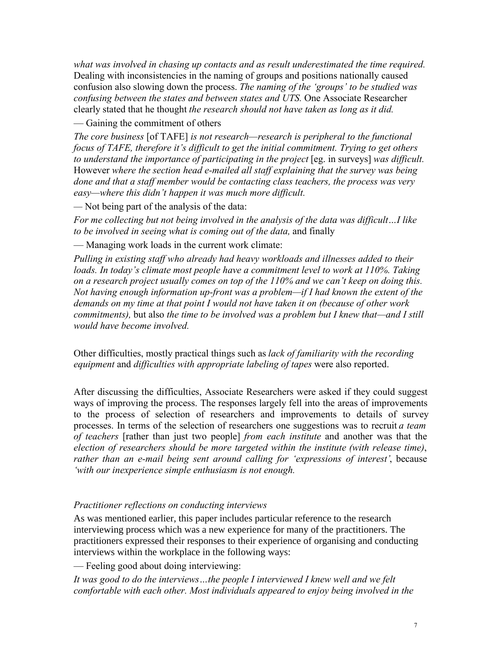*what was involved in chasing up contacts and as result underestimated the time required.* Dealing with inconsistencies in the naming of groups and positions nationally caused confusion also slowing down the process. *The naming of the 'groups' to be studied was confusing between the states and between states and UTS.* One Associate Researcher clearly stated that he thought *the research should not have taken as long as it did.*

— Gaining the commitment of others

*The core business* [of TAFE] *is not research—research is peripheral to the functional focus of TAFE, therefore it's difficult to get the initial commitment. Trying to get others to understand the importance of participating in the project* [eg. in surveys] *was difficult.* However *where the section head e-mailed all staff explaining that the survey was being done and that a staff member would be contacting class teachers, the process was very easy—where this didn't happen it was much more difficult.*

*—* Not being part of the analysis of the data:

*For me collecting but not being involved in the analysis of the data was difficult…I like to be involved in seeing what is coming out of the data,* and finally

— Managing work loads in the current work climate:

*Pulling in existing staff who already had heavy workloads and illnesses added to their loads. In today's climate most people have a commitment level to work at 110%. Taking on a research project usually comes on top of the 110% and we can't keep on doing this. Not having enough information up-front was a problem—if I had known the extent of the demands on my time at that point I would not have taken it on (because of other work commitments),* but also *the time to be involved was a problem but I knew that—and I still would have become involved.*

Other difficulties, mostly practical things such as *lack of familiarity with the recording equipment* and *difficulties with appropriate labeling of tapes* were also reported.

After discussing the difficulties, Associate Researchers were asked if they could suggest ways of improving the process. The responses largely fell into the areas of improvements to the process of selection of researchers and improvements to details of survey processes. In terms of the selection of researchers one suggestions was to recruit *a team of teachers* [rather than just two people] *from each institute* and another was that the *election of researchers should be more targeted within the institute (with release time)*, *rather than an e-mail being sent around calling for 'expressions of interest'*, because *'with our inexperience simple enthusiasm is not enough.*

### *Practitioner reflections on conducting interviews*

As was mentioned earlier, this paper includes particular reference to the research interviewing process which was a new experience for many of the practitioners. The practitioners expressed their responses to their experience of organising and conducting interviews within the workplace in the following ways:

— Feeling good about doing interviewing:

*It was good to do the interviews…the people I interviewed I knew well and we felt comfortable with each other. Most individuals appeared to enjoy being involved in the*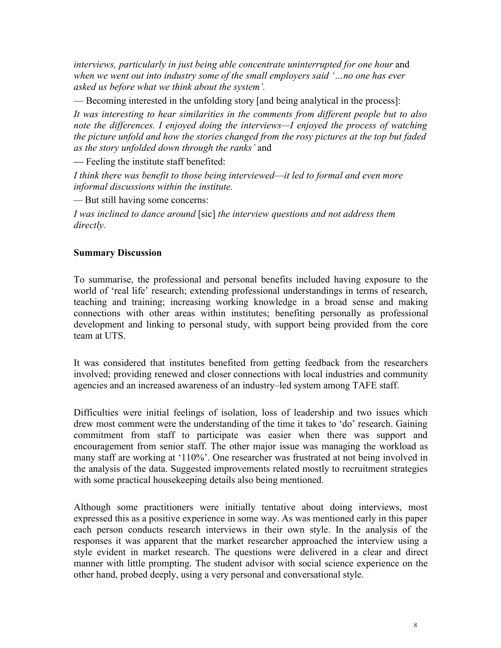*interviews, particularly in just being able concentrate uninterrupted for one hour and when we went out into industry some of the small employers said '…no one has ever asked us before what we think about the system'.*

— Becoming interested in the unfolding story [and being analytical in the process]:

*It was interesting to hear similarities in the comments from different people but to also note the differences. I enjoyed doing the interviews—I enjoyed the process of watching the picture unfold and how the stories changed from the rosy pictures at the top but faded as the story unfolded down through the ranks'* and

— Feeling the institute staff benefited:

*I think there was benefit to those being interviewed*—*it led to formal and even more informal discussions within the institute.*

*—* But still having some concerns:

*I was inclined to dance around* [sic] *the interview questions and not address them directly.*

### **Summary Discussion**

To summarise, the professional and personal benefits included having exposure to the world of 'real life' research; extending professional understandings in terms of research, teaching and training; increasing working knowledge in a broad sense and making connections with other areas within institutes; benefiting personally as professional development and linking to personal study, with support being provided from the core team at UTS.

It was considered that institutes benefited from getting feedback from the researchers involved; providing renewed and closer connections with local industries and community agencies and an increased awareness of an industry–led system among TAFE staff.

Difficulties were initial feelings of isolation, loss of leadership and two issues which drew most comment were the understanding of the time it takes to 'do' research. Gaining commitment from staff to participate was easier when there was support and encouragement from senior staff. The other major issue was managing the workload as many staff are working at '110%'. One researcher was frustrated at not being involved in the analysis of the data. Suggested improvements related mostly to recruitment strategies with some practical housekeeping details also being mentioned.

Although some practitioners were initially tentative about doing interviews, most expressed this as a positive experience in some way. As was mentioned early in this paper each person conducts research interviews in their own style. In the analysis of the responses it was apparent that the market researcher approached the interview using a style evident in market research. The questions were delivered in a clear and direct manner with little prompting. The student advisor with social science experience on the other hand, probed deeply, using a very personal and conversational style.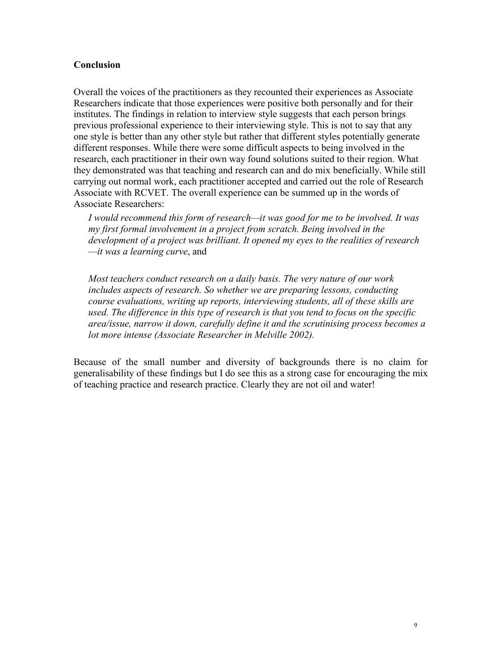### **Conclusion**

Overall the voices of the practitioners as they recounted their experiences as Associate Researchers indicate that those experiences were positive both personally and for their institutes. The findings in relation to interview style suggests that each person brings previous professional experience to their interviewing style. This is not to say that any one style is better than any other style but rather that different styles potentially generate different responses. While there were some difficult aspects to being involved in the research, each practitioner in their own way found solutions suited to their region. What they demonstrated was that teaching and research can and do mix beneficially. While still carrying out normal work, each practitioner accepted and carried out the role of Research Associate with RCVET. The overall experience can be summed up in the words of Associate Researchers:

*I would recommend this form of research—it was good for me to be involved. It was my first formal involvement in a project from scratch. Being involved in the development of a project was brilliant. It opened my eyes to the realities of research —it was a learning curve*, and

*Most teachers conduct research on a daily basis. The very nature of our work includes aspects of research. So whether we are preparing lessons, conducting course evaluations, writing up reports, interviewing students, all of these skills are used. The difference in this type of research is that you tend to focus on the specific area/issue, narrow it down, carefully define it and the scrutinising process becomes a lot more intense (Associate Researcher in Melville 2002).*

Because of the small number and diversity of backgrounds there is no claim for generalisability of these findings but I do see this as a strong case for encouraging the mix of teaching practice and research practice. Clearly they are not oil and water!